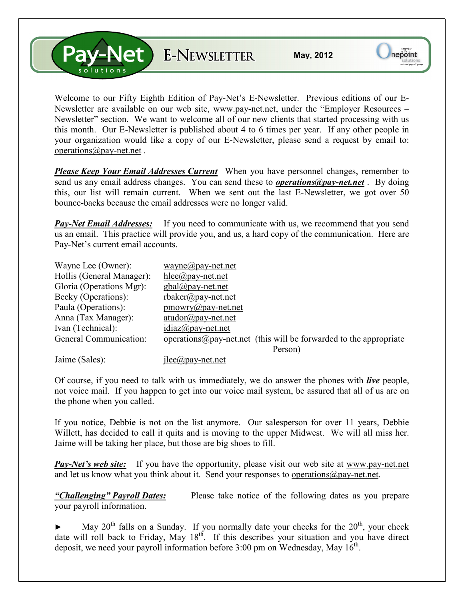**V-Net** E-NEWSLETTER

Welcome to our Fifty Eighth Edition of Pay-Net's E-Newsletter. Previous editions of our E-Newsletter are available on our web site, www.pay-net.net, under the "Employer Resources – Newsletter" section. We want to welcome all of our new clients that started processing with us this month. Our E-Newsletter is published about 4 to 6 times per year. If any other people in your organization would like a copy of our E-Newsletter, please send a request by email to: operations@pay-net.net .

*Please Keep Your Email Addresses Current* When you have personnel changes, remember to send us any email address changes. You can send these to *operations@pay-net.net* . By doing this, our list will remain current. When we sent out the last E-Newsletter, we got over 50 bounce-backs because the email addresses were no longer valid.

*Pay-Net Email Addresses:* If you need to communicate with us, we recommend that you send us an email. This practice will provide you, and us, a hard copy of the communication. Here are Pay-Net's current email accounts.

| Wayne Lee (Owner):        | $wayne(\partial p$ ay-net.net                                              |
|---------------------------|----------------------------------------------------------------------------|
| Hollis (General Manager): | $hlee(\partial p$ ay-net.net                                               |
| Gloria (Operations Mgr):  | $gbal(\partial \rho)$ ay-net.net                                           |
| Becky (Operations):       | $r$ baker@pay-net.net                                                      |
| Paula (Operations):       | $p$ mowry $\omega$ pay-net.net                                             |
| Anna (Tax Manager):       | $atudor@pay-net.net$                                                       |
| Ivan (Technical):         | $idiaz@pay-net.net$                                                        |
| General Communication:    | operations $\omega$ pay-net net (this will be forwarded to the appropriate |
|                           | Person)                                                                    |
|                           |                                                                            |

Jaime (Sales): jlee@pay-net.net

Of course, if you need to talk with us immediately, we do answer the phones with *live* people, not voice mail. If you happen to get into our voice mail system, be assured that all of us are on the phone when you called.

If you notice, Debbie is not on the list anymore. Our salesperson for over 11 years, Debbie Willett, has decided to call it quits and is moving to the upper Midwest. We will all miss her. Jaime will be taking her place, but those are big shoes to fill.

*Pay-Net's web site:* If you have the opportunity, please visit our web site at www.pay-net.net and let us know what you think about it. Send your responses to operations  $\omega$  pay-net.net.

*"Challenging" Payroll Dates:* Please take notice of the following dates as you prepare your payroll information.

May  $20^{th}$  falls on a Sunday. If you normally date your checks for the  $20^{th}$ , your check date will roll back to Friday, May  $18^{th}$ . If this describes your situation and you have direct deposit, we need your payroll information before  $3:00$  pm on Wednesday, May  $16^{\text{th}}$ .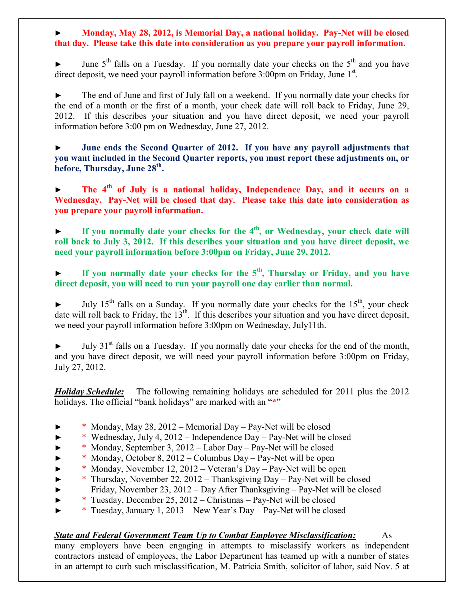## ► **Monday, May 28, 2012, is Memorial Day, a national holiday. Pay-Net will be closed that day. Please take this date into consideration as you prepare your payroll information.**

June  $5<sup>th</sup>$  falls on a Tuesday. If you normally date your checks on the  $5<sup>th</sup>$  and you have direct deposit, we need your payroll information before 3:00pm on Friday, June 1<sup>st</sup>.

The end of June and first of July fall on a weekend. If you normally date your checks for the end of a month or the first of a month, your check date will roll back to Friday, June 29, 2012. If this describes your situation and you have direct deposit, we need your payroll information before 3:00 pm on Wednesday, June 27, 2012.

► **June ends the Second Quarter of 2012. If you have any payroll adjustments that you want included in the Second Quarter reports, you must report these adjustments on, or before, Thursday, June 28th .**

► **The 4th of July is a national holiday, Independence Day, and it occurs on a Wednesday. Pay-Net will be closed that day. Please take this date into consideration as you prepare your payroll information.**

► **If you normally date your checks for the 4th, or Wednesday, your check date will roll back to July 3, 2012. If this describes your situation and you have direct deposit, we need your payroll information before 3:00pm on Friday, June 29, 2012.** 

**► If you normally date your checks for the 5th, Thursday or Friday, and you have direct deposit, you will need to run your payroll one day earlier than normal.** 

July  $15<sup>th</sup>$  falls on a Sunday. If you normally date your checks for the  $15<sup>th</sup>$ , your check date will roll back to Friday, the  $13<sup>th</sup>$ . If this describes your situation and you have direct deposit, we need your payroll information before 3:00pm on Wednesday, July11th.

July  $31<sup>st</sup>$  falls on a Tuesday. If you normally date your checks for the end of the month, and you have direct deposit, we will need your payroll information before 3:00pm on Friday, July 27, 2012.

*Holiday Schedule:* The following remaining holidays are scheduled for 2011 plus the 2012 holidays. The official "bank holidays" are marked with an "**\***"

- ► \* Monday, May 28, 2012 Memorial Day Pay-Net will be closed
- ► \* Wednesday, July 4, 2012 Independence Day Pay-Net will be closed
- ► \* Monday, September 3, 2012 Labor Day Pay-Net will be closed
- $*$  Monday, October 8, 2012 Columbus Day Pay-Net will be open
- ► \* Monday, November 12, 2012 Veteran's Day Pay-Net will be open
- ► \* Thursday, November 22, 2012 Thanksgiving Day Pay-Net will be closed ► Friday, November 23, 2012 – Day After Thanksgiving – Pay-Net will be closed
- ► \* Tuesday, December 25, 2012 Christmas Pay-Net will be closed
- ► \* Tuesday, January 1, 2013 New Year's Day Pay-Net will be closed

## *State and Federal Government Team Up to Combat Employee Misclassification:* As

many employers have been engaging in attempts to misclassify workers as independent contractors instead of employees, the Labor Department has teamed up with a number of states in an attempt to curb such misclassification, M. Patricia Smith, solicitor of labor, said Nov. 5 at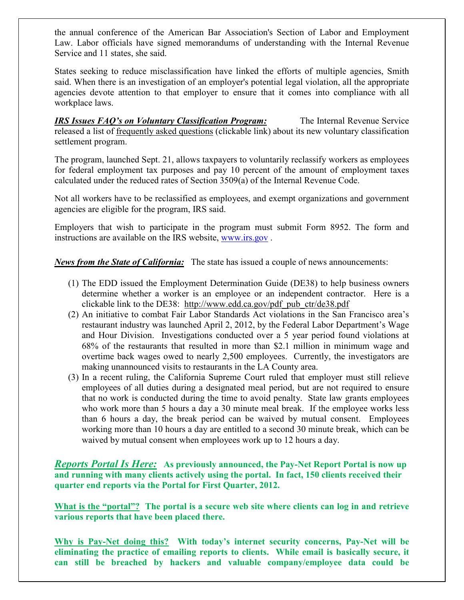the annual conference of the American Bar Association's Section of Labor and Employment Law. Labor officials have signed memorandums of understanding with the Internal Revenue Service and 11 states, she said.

States seeking to reduce misclassification have linked the efforts of multiple agencies, Smith said. When there is an investigation of an employer's potential legal violation, all the appropriate agencies devote attention to that employer to ensure that it comes into compliance with all workplace laws.

*IRS Issues FAQ's on Voluntary Classification Program:* The Internal Revenue Service released a list of frequently asked questions (clickable link) about its new voluntary classification settlement program.

The program, launched Sept. 21, allows taxpayers to voluntarily reclassify workers as employees for federal employment tax purposes and pay 10 percent of the amount of employment taxes calculated under the reduced rates of Section 3509(a) of the Internal Revenue Code.

Not all workers have to be reclassified as employees, and exempt organizations and government agencies are eligible for the program, IRS said.

Employers that wish to participate in the program must submit Form 8952. The form and instructions are available on the IRS website, www.irs.gov .

*News from the State of California:* The state has issued a couple of news announcements:

- (1) The EDD issued the Employment Determination Guide (DE38) to help business owners determine whether a worker is an employee or an independent contractor. Here is a clickable link to the DE38: http://www.edd.ca.gov/pdf\_pub\_ctr/de38.pdf
- (2) An initiative to combat Fair Labor Standards Act violations in the San Francisco area's restaurant industry was launched April 2, 2012, by the Federal Labor Department's Wage and Hour Division. Investigations conducted over a 5 year period found violations at 68% of the restaurants that resulted in more than \$2.1 million in minimum wage and overtime back wages owed to nearly 2,500 employees. Currently, the investigators are making unannounced visits to restaurants in the LA County area.
- (3) In a recent ruling, the California Supreme Court ruled that employer must still relieve employees of all duties during a designated meal period, but are not required to ensure that no work is conducted during the time to avoid penalty. State law grants employees who work more than 5 hours a day a 30 minute meal break. If the employee works less than 6 hours a day, the break period can be waived by mutual consent. Employees working more than 10 hours a day are entitled to a second 30 minute break, which can be waived by mutual consent when employees work up to 12 hours a day.

*Reports Portal Is Here:* **As previously announced, the Pay-Net Report Portal is now up and running with many clients actively using the portal. In fact, 150 clients received their quarter end reports via the Portal for First Quarter, 2012.** 

**What is the "portal"? The portal is a secure web site where clients can log in and retrieve various reports that have been placed there.** 

**Why is Pay-Net doing this? With today's internet security concerns, Pay-Net will be eliminating the practice of emailing reports to clients. While email is basically secure, it can still be breached by hackers and valuable company/employee data could be**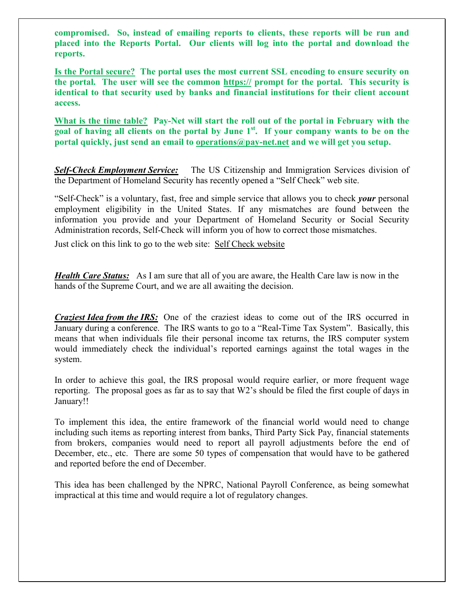**compromised. So, instead of emailing reports to clients, these reports will be run and placed into the Reports Portal. Our clients will log into the portal and download the reports.** 

**Is the Portal secure? The portal uses the most current SSL encoding to ensure security on the portal. The user will see the common https:// prompt for the portal. This security is identical to that security used by banks and financial institutions for their client account access.** 

**What is the time table? Pay-Net will start the roll out of the portal in February with the goal of having all clients on the portal by June 1st. If your company wants to be on the portal quickly, just send an email to operations@pay-net.net and we will get you setup.** 

*Self-Check Employment Service:* The US Citizenship and Immigration Services division of the Department of Homeland Security has recently opened a "Self Check" web site.

"Self-Check" is a voluntary, fast, free and simple service that allows you to check *your* personal employment eligibility in the United States. If any mismatches are found between the information you provide and your Department of Homeland Security or Social Security Administration records, Self-Check will inform you of how to correct those mismatches.

Just click on this link to go to the web site: Self Check website

*Health Care Status:* As I am sure that all of you are aware, the Health Care law is now in the hands of the Supreme Court, and we are all awaiting the decision.

*Craziest Idea from the IRS:* One of the craziest ideas to come out of the IRS occurred in January during a conference. The IRS wants to go to a "Real-Time Tax System". Basically, this means that when individuals file their personal income tax returns, the IRS computer system would immediately check the individual's reported earnings against the total wages in the system.

In order to achieve this goal, the IRS proposal would require earlier, or more frequent wage reporting. The proposal goes as far as to say that W2's should be filed the first couple of days in January!!

To implement this idea, the entire framework of the financial world would need to change including such items as reporting interest from banks, Third Party Sick Pay, financial statements from brokers, companies would need to report all payroll adjustments before the end of December, etc., etc. There are some 50 types of compensation that would have to be gathered and reported before the end of December.

This idea has been challenged by the NPRC, National Payroll Conference, as being somewhat impractical at this time and would require a lot of regulatory changes.